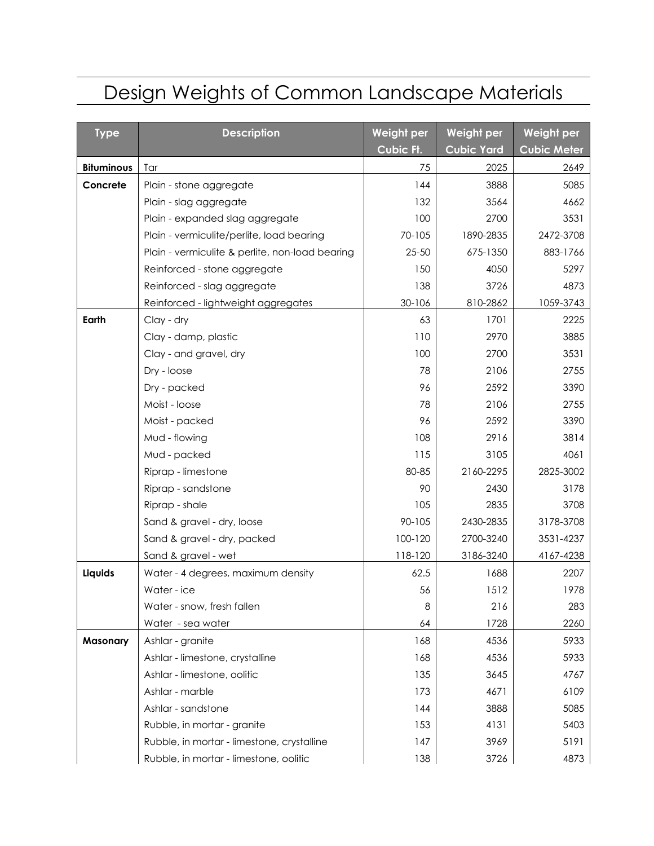## Design Weights of Common Landscape Materials

| <b>Type</b>       | <b>Description</b>                              | Weight per | Weight per        | Weight per         |
|-------------------|-------------------------------------------------|------------|-------------------|--------------------|
|                   |                                                 | Cubic Ft.  | <b>Cubic Yard</b> | <b>Cubic Meter</b> |
| <b>Bituminous</b> | Tar                                             | 75         | 2025              | 2649               |
| Concrete          | Plain - stone aggregate                         | 144        | 3888              | 5085               |
|                   | Plain - slag aggregate                          | 132        | 3564              | 4662               |
|                   | Plain - expanded slag aggregate                 | 100        | 2700              | 3531               |
|                   | Plain - vermiculite/perlite, load bearing       | 70-105     | 1890-2835         | 2472-3708          |
|                   | Plain - vermiculite & perlite, non-load bearing | $25 - 50$  | 675-1350          | 883-1766           |
|                   | Reinforced - stone aggregate                    | 150        | 4050              | 5297               |
|                   | Reinforced - slag aggregate                     | 138        | 3726              | 4873               |
|                   | Reinforced - lightweight aggregates             | 30-106     | 810-2862          | 1059-3743          |
| Earth             | Clay - dry                                      | 63         | 1701              | 2225               |
|                   | Clay - damp, plastic                            | 110        | 2970              | 3885               |
|                   | Clay - and gravel, dry                          | 100        | 2700              | 3531               |
|                   | Dry - loose                                     | 78         | 2106              | 2755               |
|                   | Dry - packed                                    | 96         | 2592              | 3390               |
|                   | Moist - loose                                   | 78         | 2106              | 2755               |
|                   | Moist - packed                                  | 96         | 2592              | 3390               |
|                   | Mud - flowing                                   | 108        | 2916              | 3814               |
|                   | Mud - packed                                    | 115        | 3105              | 4061               |
|                   | Riprap - limestone                              | 80-85      | 2160-2295         | 2825-3002          |
|                   | Riprap - sandstone                              | 90         | 2430              | 3178               |
|                   | Riprap - shale                                  | 105        | 2835              | 3708               |
|                   | Sand & gravel - dry, loose                      | 90-105     | 2430-2835         | 3178-3708          |
|                   | Sand & gravel - dry, packed                     | 100-120    | 2700-3240         | 3531-4237          |
|                   | Sand & gravel - wet                             | 118-120    | 3186-3240         | 4167-4238          |
| Liquids           | Water - 4 degrees, maximum density              | 62.5       | 1688              | 2207               |
|                   | Water - ice                                     | 56         | 1512              | 1978               |
|                   | Water - snow, fresh fallen                      | 8          | 216               | 283                |
|                   | Water - sea water                               | 64         | 1728              | 2260               |
| <b>Masonary</b>   | Ashlar - granite                                | 168        | 4536              | 5933               |
|                   | Ashlar - limestone, crystalline                 | 168        | 4536              | 5933               |
|                   | Ashlar - limestone, oolitic                     | 135        | 3645              | 4767               |
|                   | Ashlar - marble                                 | 173        | 4671              | 6109               |
|                   | Ashlar - sandstone                              | 144        | 3888              | 5085               |
|                   | Rubble, in mortar - granite                     | 153        | 4131              | 5403               |
|                   | Rubble, in mortar - limestone, crystalline      | 147        | 3969              | 5191               |
|                   | Rubble, in mortar - limestone, oolitic          | 138        | 3726              | 4873               |